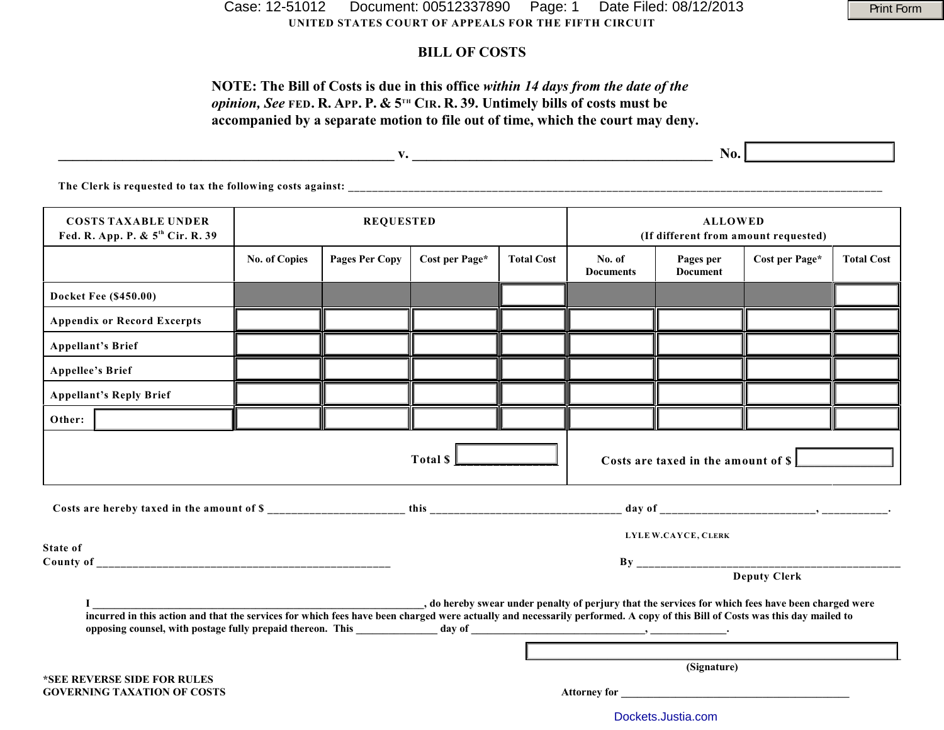**UNITED STATES COURT OF APPEALS FOR THE FIFTH CIRCUIT** Case: 12-51012 Document: 00512337890 Page: 1 Date Filed: 08/12/2013 Print Form

## **BILL OF COSTS**

# **NOTE: The Bill of Costs is due in this office** *within 14 days from the date of the opinion, See* FED. R. APP. P. &  $5^{th}$  CIR. R. 39. Untimely bills of costs must be **accompanied by a separate motion to file out of time, which the court may deny.**

|                                                                            |                      | v.             |                |                   | No.                                                    |                       |                |                   |
|----------------------------------------------------------------------------|----------------------|----------------|----------------|-------------------|--------------------------------------------------------|-----------------------|----------------|-------------------|
| The Clerk is requested to tax the following costs against:                 |                      |                |                |                   |                                                        |                       |                |                   |
| <b>COSTS TAXABLE UNDER</b><br>Fed. R. App. P. & 5 <sup>th</sup> Cir. R. 39 | <b>REQUESTED</b>     |                |                |                   | <b>ALLOWED</b><br>(If different from amount requested) |                       |                |                   |
|                                                                            | <b>No. of Copies</b> | Pages Per Copy | Cost per Page* | <b>Total Cost</b> | No. of<br><b>Documents</b>                             | Pages per<br>Document | Cost per Page* | <b>Total Cost</b> |
|                                                                            |                      |                |                |                   |                                                        |                       |                |                   |

|                                                                                                                                                                             | <b>No. of Copies</b> | <b>Pages Per Copy</b> | Cost per Page*      | <b>Total Cost</b> | No. of<br><b>Documents</b> | Pages per<br><b>Document</b> | Cost per Page*                                                                                     | <b>Total Cost</b> |  |
|-----------------------------------------------------------------------------------------------------------------------------------------------------------------------------|----------------------|-----------------------|---------------------|-------------------|----------------------------|------------------------------|----------------------------------------------------------------------------------------------------|-------------------|--|
| Docket Fee (\$450.00)                                                                                                                                                       |                      |                       |                     |                   |                            |                              |                                                                                                    |                   |  |
| <b>Appendix or Record Excerpts</b>                                                                                                                                          |                      |                       |                     |                   |                            |                              |                                                                                                    |                   |  |
| <b>Appellant's Brief</b>                                                                                                                                                    |                      |                       |                     |                   |                            |                              |                                                                                                    |                   |  |
| <b>Appellee's Brief</b>                                                                                                                                                     |                      |                       |                     |                   |                            |                              |                                                                                                    |                   |  |
| <b>Appellant's Reply Brief</b>                                                                                                                                              |                      |                       |                     |                   |                            |                              |                                                                                                    |                   |  |
| Other:                                                                                                                                                                      |                      |                       |                     |                   |                            |                              |                                                                                                    |                   |  |
| Total \$<br>Costs are taxed in the amount of \$                                                                                                                             |                      |                       |                     |                   |                            |                              |                                                                                                    |                   |  |
| <b>State of</b>                                                                                                                                                             | LYLE W.CAYCE, CLERK  |                       |                     |                   |                            |                              |                                                                                                    |                   |  |
|                                                                                                                                                                             | <b>Deputy Clerk</b>  |                       |                     |                   |                            |                              |                                                                                                    |                   |  |
| incurred in this action and that the services for which fees have been charged were actually and necessarily performed. A copy of this Bill of Costs was this day mailed to |                      |                       |                     |                   |                            |                              | , do hereby swear under penalty of perjury that the services for which fees have been charged were |                   |  |
| *SEE REVERSE SIDE FOR RULES                                                                                                                                                 |                      |                       |                     |                   |                            | (Signature)                  |                                                                                                    |                   |  |
| <b>GOVERNING TAXATION OF COSTS</b>                                                                                                                                          |                      |                       | <b>Attorney for</b> |                   |                            |                              |                                                                                                    |                   |  |

[Dockets.Justia.com](http://dockets.justia.com/)